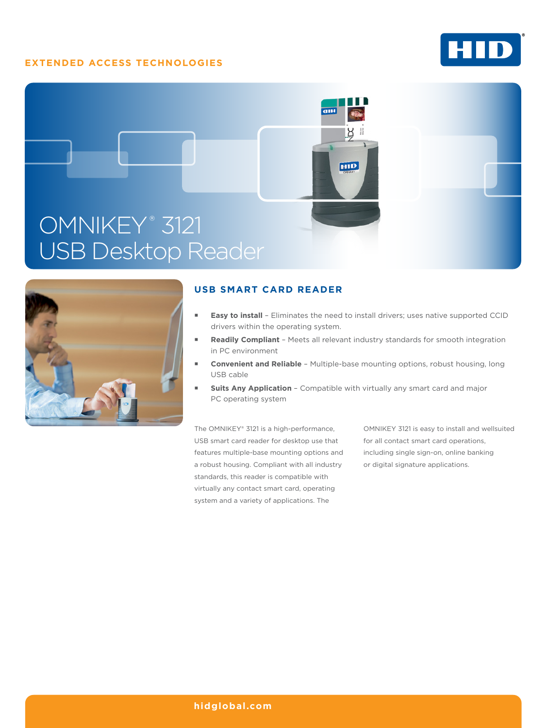# **EXTENDED ACCESS TECHNOLOGIES**







# **USB SMART CARD READER**

- **Easy to install** Eliminates the need to install drivers; uses native supported CCID drivers within the operating system.
- **Readily Compliant** Meets all relevant industry standards for smooth integration in PC environment
- **Convenient and Reliable** Multiple-base mounting options, robust housing, long USB cable
- **Suits Any Application** Compatible with virtually any smart card and major PC operating system

The OMNIKEY® 3121 is a high-performance, USB smart card reader for desktop use that features multiple-base mounting options and a robust housing. Compliant with all industry standards, this reader is compatible with virtually any contact smart card, operating system and a variety of applications. The

OMNIKEY 3121 is easy to install and wellsuited for all contact smart card operations, including single sign-on, online banking or digital signature applications.